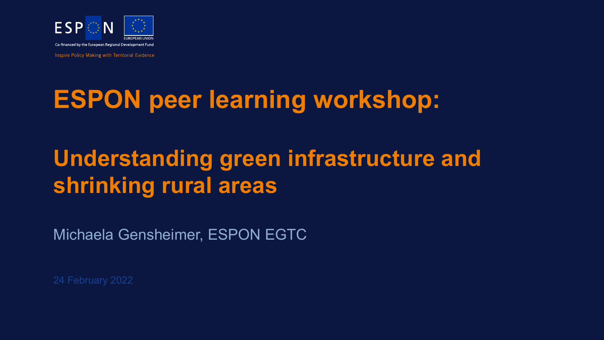

**Inspire Policy Making with Territorial Evidence** 

# **ESPON peer learning workshop:**

## **Understanding green infrastructure and shrinking rural areas**

Michaela Gensheimer, ESPON EGTC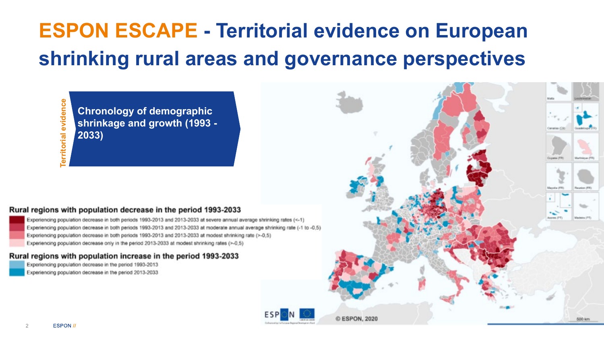## **ESPON ESCAPE - Territorial evidence on European shrinking rural areas and governance perspectives**

**Territorial evidence**erritorial evidence

**Chronology of demographic shrinkage and growth (1993 - 2033)**

#### Rural regions with population decrease in the period 1993-2033

Experiencing population decrease in both periods 1993-2013 and 2013-2033 at severe annual average shrinking rates (<-1) Experiencing population decrease in both periods 1993-2013 and 2013-2033 at moderate annual average shrinking rate (-1 to -0,5) Experiencing population decrease in both periods 1993-2013 and 2013-2033 at modest shrinking rate (>-0,5) Experiencing population decrease only in the period 2013-2033 at modest shrinking rates (>-0,5)

#### Rural regions with population increase in the period 1993-2033

Experiencing population decrease in the period 1993-2013 Experiencing population decrease in the period 2013-2033

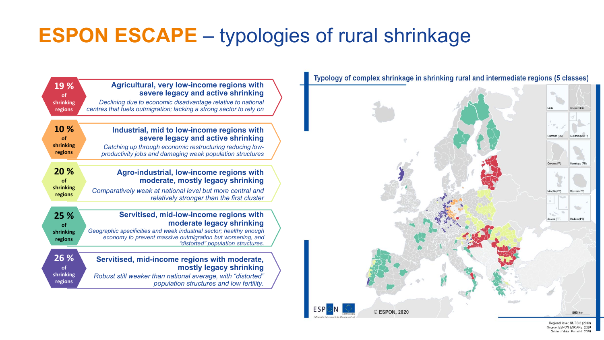## **ESPON ESCAPE** – typologies of rural shrinkage

|  | 19 %<br>of<br>shrinking<br>regions | Agricultural, very low-income regions with<br>severe legacy and active shrinking<br>Declining due to economic disadvantage relative to national<br>centres that fuels outmigration; lacking a strong sector to rely on |  |
|--|------------------------------------|------------------------------------------------------------------------------------------------------------------------------------------------------------------------------------------------------------------------|--|
|  | 10 %                               | Industrial, mid to low-income regions with                                                                                                                                                                             |  |
|  | of<br>shrinking<br>regions         | severe legacy and active shrinking<br>Catching up through economic restructuring reducing low-<br>productivity jobs and damaging weak population structures                                                            |  |
|  | 20 %                               | Agro-industrial, low-income regions with                                                                                                                                                                               |  |
|  | of<br>shrinking                    | moderate, mostly legacy shrinking                                                                                                                                                                                      |  |
|  | regions                            | Comparatively weak at national level but more central and<br>relatively stronger than the first cluster                                                                                                                |  |
|  | 25 %                               | Servitised, mid-low-income regions with<br>moderate legacy shrinking                                                                                                                                                   |  |
|  | of<br>shrinking<br>regions         | Geographic specificities and week industrial sector; healthy enough<br>economy to prevent massive outmigration but worsening, and<br>"distorted" population structures                                                 |  |
|  | 26 %<br>οf                         | Servitised, mid-income regions with moderate,<br>mostly legacy shrinking                                                                                                                                               |  |
|  | shrinking<br>regions               | Robust still weaker than national average, with "distorted"<br>population structures and low fertility.                                                                                                                |  |
|  |                                    |                                                                                                                                                                                                                        |  |



Regional level: NUTS 3 (2013) ource: ESPON ESCAPE, 2020 Origin of data: Eurostat, 2020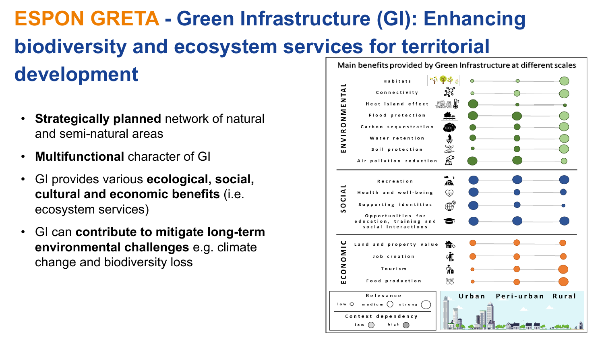### **ESPON GRETA - Green Infrastructure (GI): Enhancing biodiversity and ecosystem services for territorial development Habitats**

- **Strategically planned** network of natural and semi-natural areas
- **Multifunctional** character of GI
- GI provides various **ecological, social, cultural and economic benefits** (i.e. ecosystem services)
- GI can **contribute to mitigate long-term environmental challenges** e.g. climate change and biodiversity loss

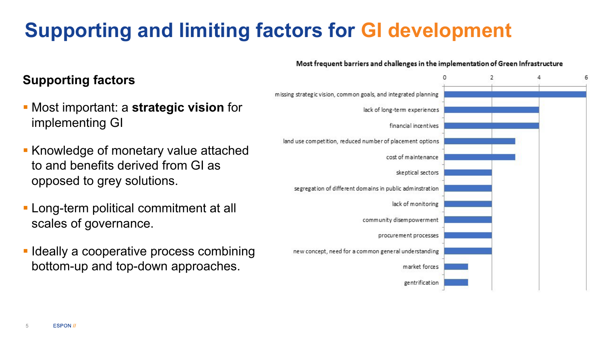## **Supporting and limiting factors for GI development**

### **Supporting factors**

- Most important: a **strategic vision** for implementing GI
- **Knowledge of monetary value attached** to and benefits derived from GI as opposed to grey solutions.
- **Long-term political commitment at all** scales of governance.
- **I** Ideally a cooperative process combining bottom-up and top-down approaches.

### Most frequent barriers and challenges in the implementation of Green Infrastructure